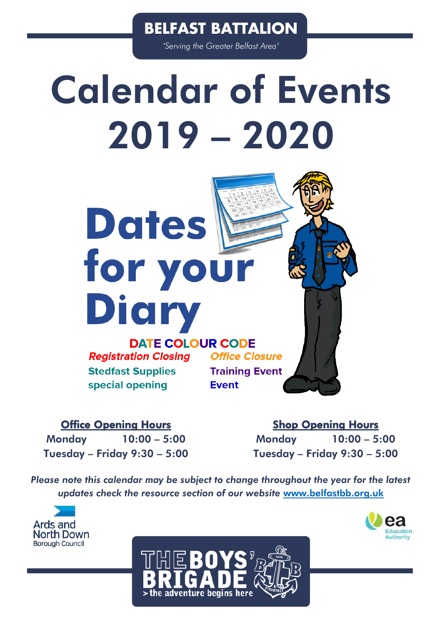*'Serving the Greater Belfast Area'*

# Calendar of Events 2019 – 2020



**Dates** 

for your

**Office Closure Training Event Event** 

### Office Opening Hours

Monday 10:00 – 5:00 Tuesday – Friday 9:30 – 5:00

Shop Opening Hours Monday 10:00 – 5:00 Tuesday – Friday 9:30 – 5:00

*Please note this calendar may be subject to change throughout the year for the latest updates check the resource section of our website* [www.belfastbb.org.uk](http://www.belfastbb.org.uk/)





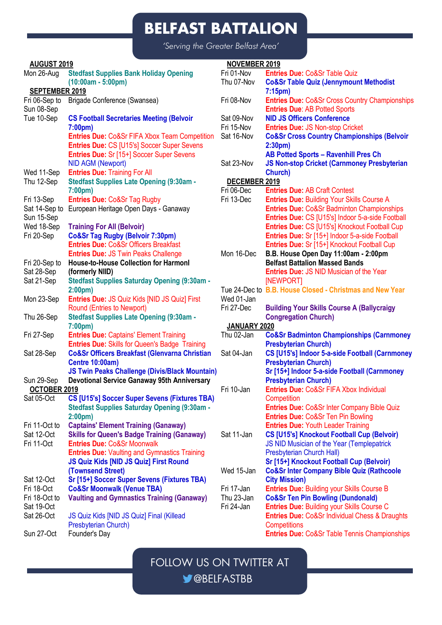*'Serving the Greater Belfast Area'*

| <b>AUGUST 2019</b>          |                                                          | <b>NOVEMBER 2019</b> |                                                                       |
|-----------------------------|----------------------------------------------------------|----------------------|-----------------------------------------------------------------------|
| Mon 26-Aug                  | <b>Stedfast Supplies Bank Holiday Opening</b>            | Fri 01-Nov           | Entries Due: Co&Sr Table Quiz                                         |
|                             | $(10:00am - 5:00pm)$                                     | Thu 07-Nov           | <b>Co&amp;Sr Table Quiz (Jennymount Methodist</b>                     |
| SEPTEMBER 2019              |                                                          |                      | 7:15pm)                                                               |
| Fri 06-Sep to               | Brigade Conference (Swansea)                             | Fri 08-Nov           | <b>Entries Due: Co&amp;Sr Cross Country Championships</b>             |
| Sun 08-Sep                  |                                                          |                      | <b>Entries Due: AB Potted Sports</b>                                  |
| Tue 10-Sep                  | <b>CS Football Secretaries Meeting (Belvoir</b>          | Sat 09-Nov           | <b>NID JS Officers Conference</b>                                     |
|                             | 7:00 <sub>pm</sub>                                       | Fri 15-Nov           | <b>Entries Due: JS Non-stop Cricket</b>                               |
|                             | <b>Entries Due: Co&amp;Sr FIFA Xbox Team Competition</b> | Sat 16-Nov           | <b>Co&amp;Sr Cross Country Championships (Belvoir</b>                 |
|                             | <b>Entries Due: CS [U15's] Soccer Super Sevens</b>       |                      | 2:30 <sub>pm</sub>                                                    |
|                             | <b>Entries Due: Sr [15+] Soccer Super Sevens</b>         |                      | AB Potted Sports - Ravenhill Pres Ch                                  |
|                             | NID AGM (Newport)                                        | Sat 23-Nov           | <b>JS Non-stop Cricket (Carnmoney Presbyterian</b>                    |
| Wed 11-Sep                  | <b>Entries Due: Training For All</b>                     |                      | Church)                                                               |
| Thu 12-Sep                  | Stedfast Supplies Late Opening (9:30am -                 | DECEMBER 2019        |                                                                       |
|                             | 7:00 <sub>pm</sub>                                       | Fri 06-Dec           | <b>Entries Due: AB Craft Contest</b>                                  |
| Fri 13-Sep                  | <b>Entries Due: Co&amp;Sr Tag Rugby</b>                  | Fri 13-Dec           | Entries Due: Building Your Skills Course A                            |
|                             | Sat 14-Sep to European Heritage Open Days - Ganaway      |                      | <b>Entries Due: Co&amp;Sr Badminton Championships</b>                 |
| Sun 15-Sep                  |                                                          |                      | Entries Due: CS [U15's] Indoor 5-a-side Football                      |
| Wed 18-Sep                  | <b>Training For All (Belvoir)</b>                        |                      | Entries Due: CS [U15's] Knockout Football Cup                         |
| Fri 20-Sep                  | Co&Sr Tag Rugby (Belvoir 7:30pm)                         |                      | Entries Due: Sr [15+] Indoor 5-a-side Football                        |
|                             | <b>Entries Due: Co&amp;Sr Officers Breakfast</b>         |                      | Entries Due: Sr [15+] Knockout Football Cup                           |
|                             | <b>Entries Due: JS Twin Peaks Challenge</b>              | Mon 16-Dec           | B.B. House Open Day 11:00am - 2:00pm                                  |
|                             |                                                          |                      | <b>Belfast Battalion Massed Bands</b>                                 |
| Fri 20-Sep to<br>Sat 28-Sep | House-to-House Collection for Harmonl<br>(formerly NIID) |                      | <b>Entries Due: JS NID Musician of the Year</b>                       |
|                             |                                                          |                      |                                                                       |
| Sat 21-Sep                  | Stedfast Supplies Saturday Opening (9:30am -             |                      | [NEWPORT]<br>Tue 24-Dec to B.B. House Closed - Christmas and New Year |
|                             | 2:00 <sub>pm</sub>                                       |                      |                                                                       |
| Mon 23-Sep                  | <b>Entries Due: JS Quiz Kids [NID JS Quiz] First</b>     | Wed 01-Jan           |                                                                       |
|                             | Round (Entries to Newport)                               | Fri 27-Dec           | <b>Building Your Skills Course A (Ballycraigy</b>                     |
| Thu 26-Sep                  | Stedfast Supplies Late Opening (9:30am -                 |                      | <b>Congregation Church)</b>                                           |
|                             | 7:00pm)                                                  | JANUARY 2020         |                                                                       |
| Fri 27-Sep                  | <b>Entries Due: Captains' Element Training</b>           | Thu 02-Jan           | <b>Co&amp;Sr Badminton Championships (Carnmoney</b>                   |
|                             | <b>Entries Due: Skills for Queen's Badge Training</b>    |                      | <b>Presbyterian Church)</b>                                           |
| Sat 28-Sep                  | <b>Co&amp;Sr Officers Breakfast (Glenvarna Christian</b> | Sat 04-Jan           | CS [U15's] Indoor 5-a-side Football (Carnmoney                        |
|                             | Centre 10:00am)                                          |                      | <b>Presbyterian Church)</b>                                           |
|                             | <b>JS Twin Peaks Challenge (Divis/Black Mountain)</b>    |                      | Sr [15+] Indoor 5-a-side Football (Carnmoney                          |
| Sun 29-Sep                  | Devotional Service Ganaway 95th Anniversary              |                      | <b>Presbyterian Church)</b>                                           |
| OCTOBER 2019                |                                                          | Fri 10-Jan           | Entries Due: Co&Sr FIFA Xbox Individual                               |
| Sat 05-Oct                  | <b>CS [U15's] Soccer Super Sevens (Fixtures TBA)</b>     |                      | Competition                                                           |
|                             | Stedfast Supplies Saturday Opening (9:30am -             |                      | <b>Entries Due: Co&amp;Sr Inter Company Bible Quiz</b>                |
|                             | 2:00 <sub>pm</sub>                                       |                      | <b>Entries Due: Co&amp;Sr Ten Pin Bowling</b>                         |
| Fri 11-Oct to               | <b>Captains' Element Training (Ganaway)</b>              |                      | <b>Entries Due: Youth Leader Training</b>                             |
| Sat 12-Oct                  | <b>Skills for Queen's Badge Training (Ganaway)</b>       | Sat 11-Jan           | CS [U15's] Knockout Football Cup (Belvoir)                            |
| Fri 11-Oct                  | <b>Entries Due: Co&amp;Sr Moonwalk</b>                   |                      | JS NID Musician of the Year (Templepatrick                            |
|                             | <b>Entries Due: Vaulting and Gymnastics Training</b>     |                      | Presbyterian Church Hall)                                             |
|                             | JS Quiz Kids [NID JS Quiz] First Round                   |                      | Sr [15+] Knockout Football Cup (Belvoir)                              |
|                             | (Townsend Street)                                        | Wed 15-Jan           | <b>Co&amp;Sr Inter Company Bible Quiz (Rathcoole</b>                  |
| Sat 12-Oct                  | Sr [15+] Soccer Super Sevens (Fixtures TBA)              |                      | <b>City Mission)</b>                                                  |
| Fri 18-Oct                  | <b>Co&amp;Sr Moonwalk (Venue TBA)</b>                    | Fri 17-Jan           | <b>Entries Due: Building your Skills Course B</b>                     |
| Fri 18-Oct to               | <b>Vaulting and Gymnastics Training (Ganaway)</b>        | Thu 23-Jan           | <b>Co&amp;Sr Ten Pin Bowling (Dundonald)</b>                          |
| Sat 19-Oct                  |                                                          | Fri 24-Jan           | <b>Entries Due: Building your Skills Course C</b>                     |
| Sat 26-Oct                  | JS Quiz Kids [NID JS Quiz] Final (Killead                |                      | <b>Entries Due: Co&amp;Sr Individual Chess &amp; Draughts</b>         |
|                             | Presbyterian Church)                                     |                      | Competitions                                                          |
| Sun 27-Oct                  | Founder's Day                                            |                      | <b>Entries Due: Co&amp;Sr Table Tennis Championships</b>              |
|                             |                                                          |                      |                                                                       |

FOLLOW US ON TWITTER AT

@BELFASTBB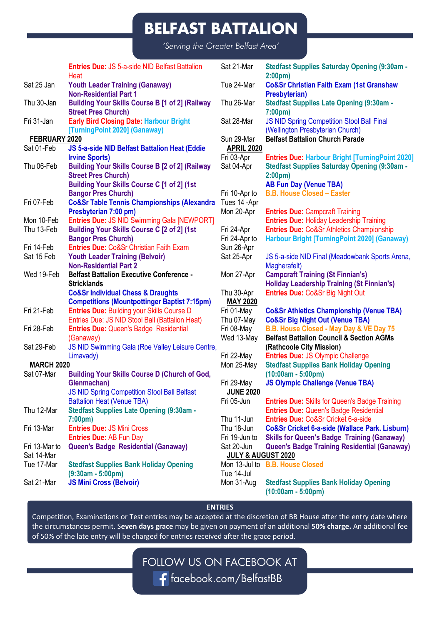*'Serving the Greater Belfast Area'*

|                   | <b>Entries Due: JS 5-a-side NID Belfast Battalion</b><br>Heat                                            | Sat 21-Mar               | Stedfast Supplies Saturday Opening (9:30am -                                                      |
|-------------------|----------------------------------------------------------------------------------------------------------|--------------------------|---------------------------------------------------------------------------------------------------|
| Sat 25 Jan        | <b>Youth Leader Training (Ganaway)</b>                                                                   | Tue 24-Mar               | 2:00 <sub>pm</sub><br><b>Co&amp;Sr Christian Faith Exam (1st Granshaw</b>                         |
| Thu 30-Jan        | <b>Non-Residential Part 1</b><br>Building Your Skills Course B [1 of 2] (Railway                         | Thu 26-Mar               | Presbyterian)<br>Stedfast Supplies Late Opening (9:30am -                                         |
| Fri 31-Jan        | <b>Street Pres Church)</b><br><b>Early Bird Closing Date: Harbour Bright</b>                             | Sat 28-Mar               | 7:00 <sub>pm</sub><br>JS NID Spring Competition Stool Ball Final                                  |
| FEBRUARY 2020     | [TurningPoint 2020] (Ganaway)                                                                            | Sun 29-Mar               | (Wellington Presbyterian Church)<br><b>Belfast Battalion Church Parade</b>                        |
| Sat 01-Feb        | JS 5-a-side NID Belfast Battalion Heat (Eddie                                                            | <b>APRIL 2020</b>        |                                                                                                   |
|                   | <b>Irvine Sports)</b>                                                                                    | Fri 03-Apr               | <b>Entries Due: Harbour Bright [TurningPoint 2020]</b>                                            |
| Thu 06-Feb        | <b>Building Your Skills Course B [2 of 2] (Railway</b>                                                   | Sat 04-Apr               | Stedfast Supplies Saturday Opening (9:30am -                                                      |
|                   | <b>Street Pres Church)</b>                                                                               |                          | 2:00 <sub>pm</sub>                                                                                |
|                   | Building Your Skills Course C [1 of 2] (1st                                                              |                          | <b>AB Fun Day (Venue TBA)</b>                                                                     |
|                   | <b>Bangor Pres Church)</b>                                                                               | Fri 10-Apr to            | <b>B.B. House Closed - Easter</b>                                                                 |
| Fri 07-Feb        | <b>Co&amp;Sr Table Tennis Championships (Alexandra</b>                                                   | Tues 14 -Apr             |                                                                                                   |
|                   | Presbyterian 7:00 pm)                                                                                    | Mon 20-Apr               | <b>Entries Due: Campcraft Training</b>                                                            |
| Mon 10-Feb        | Entries Due: JS NID Swimming Gala [NEWPORT]                                                              |                          | <b>Entries Due: Holiday Leadership Training</b>                                                   |
| Thu 13-Feb        | Building Your Skills Course C [2 of 2] (1st                                                              | Fri 24-Apr               | Entries Due: Co&Sr Athletics Championship                                                         |
|                   | <b>Bangor Pres Church)</b>                                                                               | Fri 24-Apr to            | Harbour Bright [TurningPoint 2020] (Ganaway)                                                      |
| Fri 14-Feb        | <b>Entries Due: Co&amp;Sr Christian Faith Exam</b>                                                       | Sun 26-Apr               |                                                                                                   |
| Sat 15 Feb        | <b>Youth Leader Training (Belvoir)</b>                                                                   | Sat 25-Apr               | JS 5-a-side NID Final (Meadowbank Sports Arena,                                                   |
|                   | <b>Non-Residential Part 2</b>                                                                            |                          | Magherafelt)                                                                                      |
| Wed 19-Feb        | <b>Belfast Battalion Executive Conference -</b>                                                          | Mon 27-Apr               | <b>Campcraft Training (St Finnian's)</b>                                                          |
|                   | <b>Stricklands</b>                                                                                       |                          | <b>Holiday Leadership Training (St Finnian's)</b>                                                 |
|                   | <b>Co&amp;Sr Individual Chess &amp; Draughts</b>                                                         | Thu 30-Apr               | Entries Due: Co&Sr Big Night Out                                                                  |
| Fri 21-Feb        | <b>Competitions (Mountpottinger Baptist 7:15pm)</b><br><b>Entries Due: Building your Skills Course D</b> | <b>MAY 2020</b>          |                                                                                                   |
|                   | Entries Due: JS NID Stool Ball (Battalion Heat)                                                          | Fri 01-May<br>Thu 07-May | <b>Co&amp;Sr Athletics Championship (Venue TBA)</b><br><b>Co&amp;Sr Big Night Out (Venue TBA)</b> |
| Fri 28-Feb        | <b>Entries Due: Queen's Badge Residential</b>                                                            | Fri 08-May               | B.B. House Closed - May Day & VE Day 75                                                           |
|                   | (Ganaway)                                                                                                | Wed 13-May               | <b>Belfast Battalion Council &amp; Section AGMs</b>                                               |
| Sat 29-Feb        | JS NID Swimming Gala (Roe Valley Leisure Centre,                                                         |                          | (Rathcoole City Mission)                                                                          |
|                   | Limavady)                                                                                                | Fri 22-May               | <b>Entries Due: JS Olympic Challenge</b>                                                          |
| <b>MARCH 2020</b> |                                                                                                          | Mon 25-May               | <b>Stedfast Supplies Bank Holiday Opening</b>                                                     |
| Sat 07-Mar        | Building Your Skills Course D (Church of God,                                                            |                          | $(10:00am - 5:00pm)$                                                                              |
|                   | Glenmachan)                                                                                              | Fri 29-May               | <b>JS Olympic Challenge (Venue TBA)</b>                                                           |
|                   | JS NID Spring Competition Stool Ball Belfast                                                             | <b>JUNE 2020</b>         |                                                                                                   |
|                   | <b>Battalion Heat (Venue TBA)</b>                                                                        | Fri 05-Jun               | <b>Entries Due:</b> Skills for Queen's Badge Training                                             |
| Thu 12-Mar        | Stedfast Supplies Late Opening (9:30am -                                                                 |                          | <b>Entries Due: Queen's Badge Residential</b>                                                     |
|                   | 7:00 <sub>pm</sub>                                                                                       | Thu 11-Jun               | Entries Due: Co&Sr Cricket 6-a-side                                                               |
| Fri 13-Mar        | <b>Entries Due: JS Mini Cross</b>                                                                        | Thu 18-Jun               | Co&Sr Cricket 6-a-side (Wallace Park. Lisburn)                                                    |
|                   | <b>Entries Due: AB Fun Day</b>                                                                           | Fri 19-Jun to            | <b>Skills for Queen's Badge Training (Ganaway)</b>                                                |
| Fri 13-Mar to     | Queen's Badge Residential (Ganaway)                                                                      | Sat 20-Jun               | Queen's Badge Training Residential (Ganaway)                                                      |
| Sat 14-Mar        |                                                                                                          | JULY & AUGUST 2020       |                                                                                                   |
| Tue 17-Mar        | <b>Stedfast Supplies Bank Holiday Opening</b>                                                            |                          | Mon 13-Jul to B.B. House Closed                                                                   |
|                   | $(9:30am - 5:00pm)$                                                                                      | Tue 14-Jul               |                                                                                                   |
| Sat 21-Mar        | <b>JS Mini Cross (Belvoir)</b>                                                                           | Mon 31-Aug               | <b>Stedfast Supplies Bank Holiday Opening</b><br>$(10:00am - 5:00pm)$                             |

#### **ENTRIES**

Competition, Examinations or Test entries may be accepted at the discretion of BB House after the entry date where the circumstances permit. S**even days grace** may be given on payment of an additional **50% charge.** An additional fee of 50% of the late entry will be charged for entries received after the grace period.

FOLLOW US ON FACEBOOK AT

facebook.com/BelfastBB